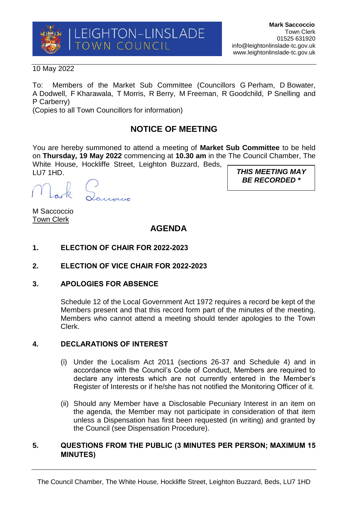

#### 10 May 2022

To: Members of the Market Sub Committee (Councillors G Perham, D Bowater, A Dodwell, F Kharawala, T Morris, R Berry, M Freeman, R Goodchild, P Snelling and P Carberry)

(Copies to all Town Councillors for information)

# **NOTICE OF MEETING**

You are hereby summoned to attend a meeting of **Market Sub Committee** to be held on **Thursday, 19 May 2022** commencing at **10.30 am** in the The Council Chamber, The White House, Hockliffe Street, Leighton Buzzard, Beds, LU7 1HD.

Panonio

M Saccoccio Town Clerk

## **AGENDA**

- **1. ELECTION OF CHAIR FOR 2022-2023**
- **2. ELECTION OF VICE CHAIR FOR 2022-2023**
- **3. APOLOGIES FOR ABSENCE**

Schedule 12 of the Local Government Act 1972 requires a record be kept of the Members present and that this record form part of the minutes of the meeting. Members who cannot attend a meeting should tender apologies to the Town Clerk.

#### **4. DECLARATIONS OF INTEREST**

- (i) Under the Localism Act 2011 (sections 26-37 and Schedule 4) and in accordance with the Council's Code of Conduct, Members are required to declare any interests which are not currently entered in the Member's Register of Interests or if he/she has not notified the Monitoring Officer of it.
- (ii) Should any Member have a Disclosable Pecuniary Interest in an item on the agenda, the Member may not participate in consideration of that item unless a Dispensation has first been requested (in writing) and granted by the Council (see Dispensation Procedure).

### **5. QUESTIONS FROM THE PUBLIC (3 MINUTES PER PERSON; MAXIMUM 15 MINUTES)**

*THIS MEETING MAY BE RECORDED \**